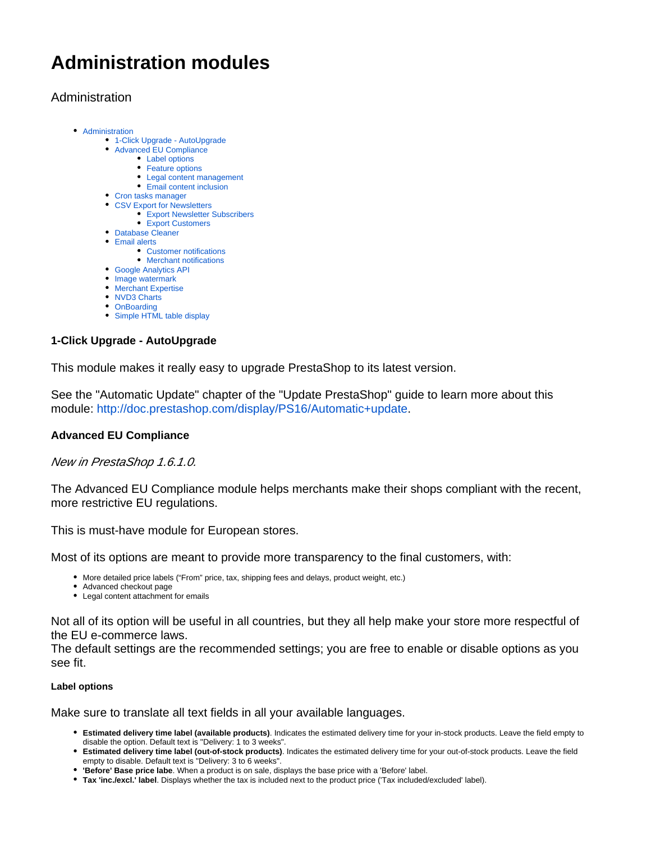# **Administration modules**

# <span id="page-0-0"></span>Administration

- [Administration](#page-0-0)
	- [1-Click Upgrade AutoUpgrade](#page-0-1)
	- [Advanced EU Compliance](#page-0-2)
		- [Label options](#page-0-3)
		- [Feature options](#page-1-0)
		- [Legal content management](#page-1-1)
		- [Email content inclusion](#page-1-2)
	- [Cron tasks manager](#page-1-3)
	- [CSV Export for Newsletters](#page-1-4)
		- [Export Newsletter Subscribers](#page-1-5) • [Export Customers](#page-2-0)
	- [Database Cleaner](#page-2-1)
	- [Email alerts](#page-2-2)
		- [Customer notifications](#page-3-0)
		- [Merchant notifications](#page-3-1)
	- [Google Analytics API](#page-3-2)
	- [Image watermark](#page-3-3)
	- **[Merchant Expertise](#page-3-4)**
	- [NVD3 Charts](#page-4-0)
	- [OnBoarding](#page-4-1)
	- [Simple HTML table display](#page-4-2)

# <span id="page-0-1"></span>**1-Click Upgrade - AutoUpgrade**

This module makes it really easy to upgrade PrestaShop to its latest version.

See the "Automatic Update" chapter of the "Update PrestaShop" guide to learn more about this module: [http://doc.prestashop.com/display/PS16/Automatic+update.](http://doc.prestashop.com/display/PS16/Automatic+update)

# <span id="page-0-2"></span>**Advanced EU Compliance**

New in PrestaShop 1.6.1.0.

The Advanced EU Compliance module helps merchants make their shops compliant with the recent, more restrictive EU regulations.

This is must-have module for European stores.

Most of its options are meant to provide more transparency to the final customers, with:

- More detailed price labels ("From" price, tax, shipping fees and delays, product weight, etc.)
- Advanced checkout page
- Legal content attachment for emails

Not all of its option will be useful in all countries, but they all help make your store more respectful of the EU e-commerce laws.

The default settings are the recommended settings; you are free to enable or disable options as you see fit.

## <span id="page-0-3"></span>**Label options**

Make sure to translate all text fields in all your available languages.

- **Estimated delivery time label (available products)**. Indicates the estimated delivery time for your in-stock products. Leave the field empty to disable the option. Default text is "Delivery: 1 to 3 weeks".
- **Estimated delivery time label (out-of-stock products)**. Indicates the estimated delivery time for your out-of-stock products. Leave the field empty to disable. Default text is "Delivery: 3 to 6 weeks".
- **'Before' Base price labe**. When a product is on sale, displays the base price with a 'Before' label.

**Tax 'inc./excl.' label**. Displays whether the tax is included next to the product price ('Tax included/excluded' label).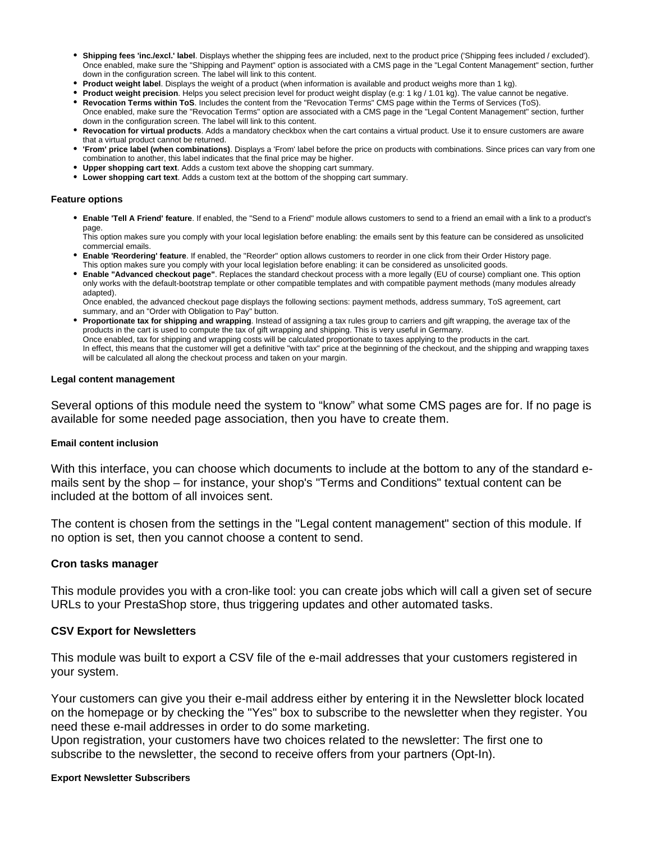- **Shipping fees 'inc./excl.' label**. Displays whether the shipping fees are included, next to the product price ('Shipping fees included / excluded'). Once enabled, make sure the "Shipping and Payment" option is associated with a CMS page in the "Legal Content Management" section, further down in the configuration screen. The label will link to this content.
- **Product weight label**. Displays the weight of a product (when information is available and product weighs more than 1 kg).
- **Product weight precision**. Helps you select precision level for product weight display (e.g: 1 kg / 1.01 kg). The value cannot be negative. **Revocation Terms within ToS**. Includes the content from the "Revocation Terms" CMS page within the Terms of Services (ToS).
- Once enabled, make sure the "Revocation Terms" option are associated with a CMS page in the "Legal Content Management" section, further down in the configuration screen. The label will link to this content.
- **Revocation for virtual products**. Adds a mandatory checkbox when the cart contains a virtual product. Use it to ensure customers are aware that a virtual product cannot be returned.
- **'From' price label (when combinations)**. Displays a 'From' label before the price on products with combinations. Since prices can vary from one combination to another, this label indicates that the final price may be higher.
- **Upper shopping cart text**. Adds a custom text above the shopping cart summary.
- **Lower shopping cart text**. Adds a custom text at the bottom of the shopping cart summary.

#### <span id="page-1-0"></span>**Feature options**

**Enable 'Tell A Friend' feature**. If enabled, the "Send to a Friend" module allows customers to send to a friend an email with a link to a product's page.

This option makes sure you comply with your local legislation before enabling: the emails sent by this feature can be considered as unsolicited commercial emails.

- **Enable 'Reordering' feature**. If enabled, the "Reorder" option allows customers to reorder in one click from their Order History page. This option makes sure you comply with your local legislation before enabling: it can be considered as unsolicited goods.
- **Enable "Advanced checkout page"**. Replaces the standard checkout process with a more legally (EU of course) compliant one. This option only works with the default-bootstrap template or other compatible templates and with compatible payment methods (many modules already adapted).

Once enabled, the advanced checkout page displays the following sections: payment methods, address summary, ToS agreement, cart summary, and an "Order with Obligation to Pay" button.

**Proportionate tax for shipping and wrapping**. Instead of assigning a tax rules group to carriers and gift wrapping, the average tax of the products in the cart is used to compute the tax of gift wrapping and shipping. This is very useful in Germany. Once enabled, tax for shipping and wrapping costs will be calculated proportionate to taxes applying to the products in the cart. In effect, this means that the customer will get a definitive "with tax" price at the beginning of the checkout, and the shipping and wrapping taxes will be calculated all along the checkout process and taken on your margin.

#### <span id="page-1-1"></span>**Legal content management**

Several options of this module need the system to "know" what some CMS pages are for. If no page is available for some needed page association, then you have to create them.

#### <span id="page-1-2"></span>**Email content inclusion**

With this interface, you can choose which documents to include at the bottom to any of the standard emails sent by the shop – for instance, your shop's "Terms and Conditions" textual content can be included at the bottom of all invoices sent.

The content is chosen from the settings in the "Legal content management" section of this module. If no option is set, then you cannot choose a content to send.

#### <span id="page-1-3"></span>**Cron tasks manager**

This module provides you with a cron-like tool: you can create jobs which will call a given set of secure URLs to your PrestaShop store, thus triggering updates and other automated tasks.

## <span id="page-1-4"></span>**CSV Export for Newsletters**

This module was built to export a CSV file of the e-mail addresses that your customers registered in your system.

Your customers can give you their e-mail address either by entering it in the Newsletter block located on the homepage or by checking the "Yes" box to subscribe to the newsletter when they register. You need these e-mail addresses in order to do some marketing.

Upon registration, your customers have two choices related to the newsletter: The first one to subscribe to the newsletter, the second to receive offers from your partners (Opt-In).

#### <span id="page-1-5"></span>**Export Newsletter Subscribers**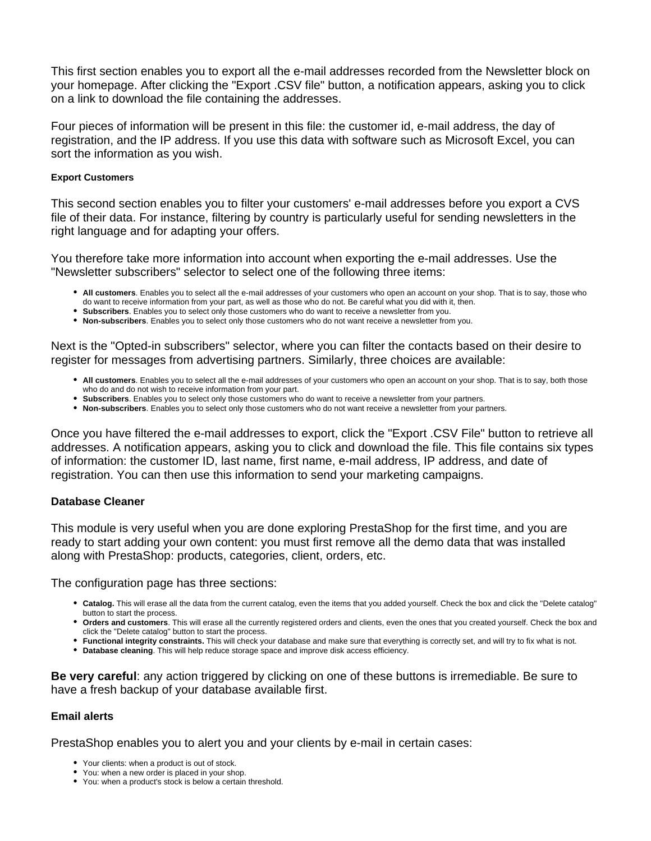This first section enables you to export all the e-mail addresses recorded from the Newsletter block on your homepage. After clicking the "Export .CSV file" button, a notification appears, asking you to click on a link to download the file containing the addresses.

Four pieces of information will be present in this file: the customer id, e-mail address, the day of registration, and the IP address. If you use this data with software such as Microsoft Excel, you can sort the information as you wish.

#### <span id="page-2-0"></span>**Export Customers**

This second section enables you to filter your customers' e-mail addresses before you export a CVS file of their data. For instance, filtering by country is particularly useful for sending newsletters in the right language and for adapting your offers.

You therefore take more information into account when exporting the e-mail addresses. Use the "Newsletter subscribers" selector to select one of the following three items:

- **All customers**. Enables you to select all the e-mail addresses of your customers who open an account on your shop. That is to say, those who do want to receive information from your part, as well as those who do not. Be careful what you did with it, then.
- **Subscribers**. Enables you to select only those customers who do want to receive a newsletter from you.
- **Non-subscribers**. Enables you to select only those customers who do not want receive a newsletter from you.

Next is the "Opted-in subscribers" selector, where you can filter the contacts based on their desire to register for messages from advertising partners. Similarly, three choices are available:

- **All customers**. Enables you to select all the e-mail addresses of your customers who open an account on your shop. That is to say, both those who do and do not wish to receive information from your part.
- **Subscribers**. Enables you to select only those customers who do want to receive a newsletter from your partners.
- **Non-subscribers**. Enables you to select only those customers who do not want receive a newsletter from your partners.

Once you have filtered the e-mail addresses to export, click the "Export .CSV File" button to retrieve all addresses. A notification appears, asking you to click and download the file. This file contains six types of information: the customer ID, last name, first name, e-mail address, IP address, and date of registration. You can then use this information to send your marketing campaigns.

## <span id="page-2-1"></span>**Database Cleaner**

This module is very useful when you are done exploring PrestaShop for the first time, and you are ready to start adding your own content: you must first remove all the demo data that was installed along with PrestaShop: products, categories, client, orders, etc.

The configuration page has three sections:

- **Catalog.** This will erase all the data from the current catalog, even the items that you added yourself. Check the box and click the "Delete catalog" button to start the process.
- **Orders and customers**. This will erase all the currently registered orders and clients, even the ones that you created yourself. Check the box and click the "Delete catalog" button to start the process.
- **Functional integrity constraints.** This will check your database and make sure that everything is correctly set, and will try to fix what is not.
- **Database cleaning**. This will help reduce storage space and improve disk access efficiency.

**Be very careful**: any action triggered by clicking on one of these buttons is irremediable. Be sure to have a fresh backup of your database available first.

## <span id="page-2-2"></span>**Email alerts**

PrestaShop enables you to alert you and your clients by e-mail in certain cases:

- Your clients: when a product is out of stock.
- You: when a new order is placed in your shop.
- You: when a product's stock is below a certain threshold.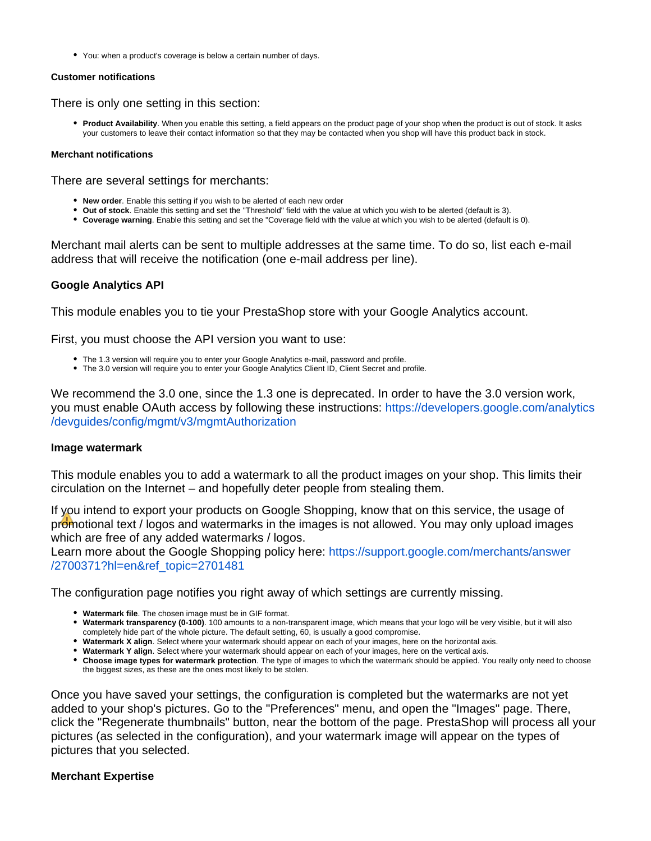You: when a product's coverage is below a certain number of days.

#### <span id="page-3-0"></span>**Customer notifications**

There is only one setting in this section:

**Product Availability**. When you enable this setting, a field appears on the product page of your shop when the product is out of stock. It asks your customers to leave their contact information so that they may be contacted when you shop will have this product back in stock.

#### <span id="page-3-1"></span>**Merchant notifications**

There are several settings for merchants:

- **New order**. Enable this setting if you wish to be alerted of each new order
- **Out of stock**. Enable this setting and set the "Threshold" field with the value at which you wish to be alerted (default is 3).
- **Coverage warning**. Enable this setting and set the "Coverage field with the value at which you wish to be alerted (default is 0).

Merchant mail alerts can be sent to multiple addresses at the same time. To do so, list each e-mail address that will receive the notification (one e-mail address per line).

# <span id="page-3-2"></span>**Google Analytics API**

This module enables you to tie your PrestaShop store with your Google Analytics account.

First, you must choose the API version you want to use:

- The 1.3 version will require you to enter your Google Analytics e-mail, password and profile.
- The 3.0 version will require you to enter your Google Analytics Client ID, Client Secret and profile.

We recommend the 3.0 one, since the 1.3 one is deprecated. In order to have the 3.0 version work, you must enable OAuth access by following these instructions: [https://developers.google.com/analytics](https://developers.google.com/analytics/devguides/config/mgmt/v3/mgmtAuthorization) [/devguides/config/mgmt/v3/mgmtAuthorization](https://developers.google.com/analytics/devguides/config/mgmt/v3/mgmtAuthorization)

## <span id="page-3-3"></span>**Image watermark**

This module enables you to add a watermark to all the product images on your shop. This limits their circulation on the Internet – and hopefully deter people from stealing them.

If you intend to export your products on Google Shopping, know that on this service, the usage of promotional text / logos and watermarks in the images is not allowed. You may only upload images which are free of any added watermarks / logos.

Learn more about the Google Shopping policy here: [https://support.google.com/merchants/answer](https://support.google.com/merchants/answer/2700371?hl=en&ref_topic=2701481) [/2700371?hl=en&ref\\_topic=2701481](https://support.google.com/merchants/answer/2700371?hl=en&ref_topic=2701481)

The configuration page notifies you right away of which settings are currently missing.

- **Watermark file**. The chosen image must be in GIF format.
- **Watermark transparency (0-100)**. 100 amounts to a non-transparent image, which means that your logo will be very visible, but it will also completely hide part of the whole picture. The default setting, 60, is usually a good compromise.
- **Watermark X align**. Select where your watermark should appear on each of your images, here on the horizontal axis.
- **Watermark Y align**. Select where your watermark should appear on each of your images, here on the vertical axis.
- **Choose image types for watermark protection**. The type of images to which the watermark should be applied. You really only need to choose the biggest sizes, as these are the ones most likely to be stolen.

Once you have saved your settings, the configuration is completed but the watermarks are not yet added to your shop's pictures. Go to the "Preferences" menu, and open the "Images" page. There, click the "Regenerate thumbnails" button, near the bottom of the page. PrestaShop will process all your pictures (as selected in the configuration), and your watermark image will appear on the types of pictures that you selected.

## <span id="page-3-4"></span>**Merchant Expertise**